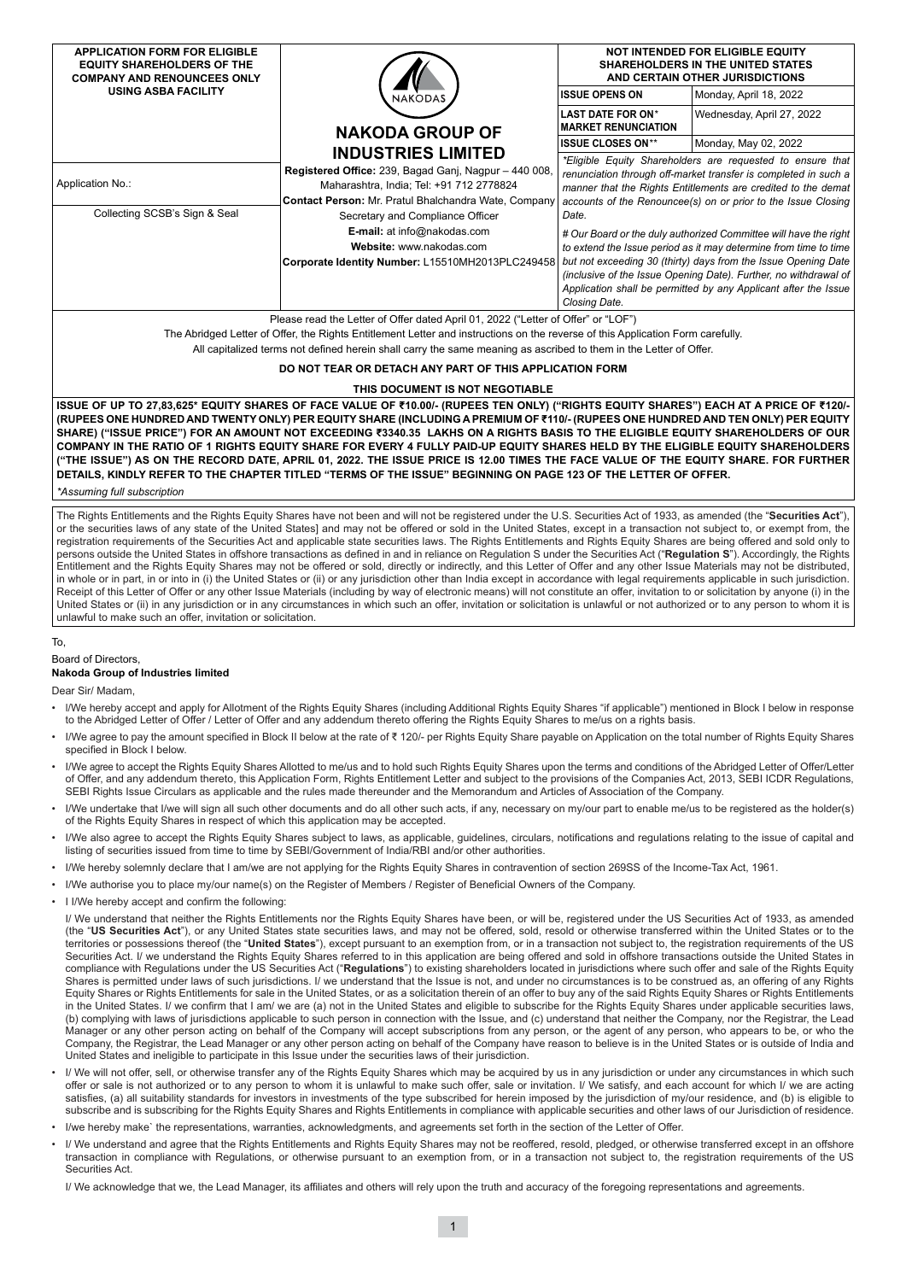| <b>APPLICATION FORM FOR ELIGIBLE</b><br><b>EQUITY SHAREHOLDERS OF THE</b><br><b>COMPANY AND RENOUNCEES ONLY</b>                                                                                                                                                                                                                                                                                                                                                                                                                                                                                                                                                                                                                                                                                                                         |                                                                                                                                                                                                                                                                                                              | NOT INTENDED FOR ELIGIBLE EQUITY<br><b>SHAREHOLDERS IN THE UNITED STATES</b><br>AND CERTAIN OTHER JURISDICTIONS                                                                                                                                                                                                                                                                                                                                                                                                                                                                                                                            |                           |  |  |  |  |  |
|-----------------------------------------------------------------------------------------------------------------------------------------------------------------------------------------------------------------------------------------------------------------------------------------------------------------------------------------------------------------------------------------------------------------------------------------------------------------------------------------------------------------------------------------------------------------------------------------------------------------------------------------------------------------------------------------------------------------------------------------------------------------------------------------------------------------------------------------|--------------------------------------------------------------------------------------------------------------------------------------------------------------------------------------------------------------------------------------------------------------------------------------------------------------|--------------------------------------------------------------------------------------------------------------------------------------------------------------------------------------------------------------------------------------------------------------------------------------------------------------------------------------------------------------------------------------------------------------------------------------------------------------------------------------------------------------------------------------------------------------------------------------------------------------------------------------------|---------------------------|--|--|--|--|--|
| <b>USING ASBA FACILITY</b>                                                                                                                                                                                                                                                                                                                                                                                                                                                                                                                                                                                                                                                                                                                                                                                                              | <b>NAKODAS</b>                                                                                                                                                                                                                                                                                               | <b>ISSUE OPENS ON</b>                                                                                                                                                                                                                                                                                                                                                                                                                                                                                                                                                                                                                      | Monday, April 18, 2022    |  |  |  |  |  |
|                                                                                                                                                                                                                                                                                                                                                                                                                                                                                                                                                                                                                                                                                                                                                                                                                                         | <b>NAKODA GROUP OF</b>                                                                                                                                                                                                                                                                                       | <b>LAST DATE FOR ON*</b><br><b>MARKET RENUNCIATION</b>                                                                                                                                                                                                                                                                                                                                                                                                                                                                                                                                                                                     | Wednesday, April 27, 2022 |  |  |  |  |  |
|                                                                                                                                                                                                                                                                                                                                                                                                                                                                                                                                                                                                                                                                                                                                                                                                                                         | <b>INDUSTRIES LIMITED</b>                                                                                                                                                                                                                                                                                    | <b>ISSUE CLOSES ON**</b>                                                                                                                                                                                                                                                                                                                                                                                                                                                                                                                                                                                                                   | Monday, May 02, 2022      |  |  |  |  |  |
| <b>Application No.:</b><br>Collecting SCSB's Sign & Seal                                                                                                                                                                                                                                                                                                                                                                                                                                                                                                                                                                                                                                                                                                                                                                                | Registered Office: 239, Bagad Ganj, Nagpur - 440 008,<br>Maharashtra, India; Tel: +91 712 2778824<br>Contact Person: Mr. Pratul Bhalchandra Wate, Company<br>Secretary and Compliance Officer<br>E-mail: at info@nakodas.com<br>Website: www.nakodas.com<br>Corporate Identity Number: L15510MH2013PLC249458 | *Eligible Equity Shareholders are requested to ensure that<br>renunciation through off-market transfer is completed in such a<br>manner that the Rights Entitlements are credited to the demat<br>accounts of the Renouncee(s) on or prior to the Issue Closing<br>Date.<br># Our Board or the duly authorized Committee will have the right<br>to extend the Issue period as it may determine from time to time<br>but not exceeding 30 (thirty) days from the Issue Opening Date<br>(inclusive of the Issue Opening Date). Further, no withdrawal of<br>Application shall be permitted by any Applicant after the Issue<br>Closing Date. |                           |  |  |  |  |  |
| Please read the Letter of Offer dated April 01, 2022 ("Letter of Offer" or "LOF")                                                                                                                                                                                                                                                                                                                                                                                                                                                                                                                                                                                                                                                                                                                                                       |                                                                                                                                                                                                                                                                                                              |                                                                                                                                                                                                                                                                                                                                                                                                                                                                                                                                                                                                                                            |                           |  |  |  |  |  |
| The Abridged Letter of Offer, the Rights Entitlement Letter and instructions on the reverse of this Application Form carefully.<br>All capitalized terms not defined herein shall carry the same meaning as ascribed to them in the Letter of Offer.                                                                                                                                                                                                                                                                                                                                                                                                                                                                                                                                                                                    |                                                                                                                                                                                                                                                                                                              |                                                                                                                                                                                                                                                                                                                                                                                                                                                                                                                                                                                                                                            |                           |  |  |  |  |  |
| DO NOT TEAR OR DETACH ANY PART OF THIS APPLICATION FORM                                                                                                                                                                                                                                                                                                                                                                                                                                                                                                                                                                                                                                                                                                                                                                                 |                                                                                                                                                                                                                                                                                                              |                                                                                                                                                                                                                                                                                                                                                                                                                                                                                                                                                                                                                                            |                           |  |  |  |  |  |
| THIS DOCUMENT IS NOT NEGOTIABLE                                                                                                                                                                                                                                                                                                                                                                                                                                                                                                                                                                                                                                                                                                                                                                                                         |                                                                                                                                                                                                                                                                                                              |                                                                                                                                                                                                                                                                                                                                                                                                                                                                                                                                                                                                                                            |                           |  |  |  |  |  |
| ISSUE OF UP TO 27,83,625* EQUITY SHARES OF FACE VALUE OF ₹10.00/- (RUPEES TEN ONLY) ("RIGHTS EQUITY SHARES") EACH AT A PRICE OF ₹120/-<br>(RUPEES ONE HUNDRED AND TWENTY ONLY) PER EQUITY SHARE (INCLUDING A PREMIUM OF ₹110/- (RUPEES ONE HUNDRED AND TEN ONLY) PER EQUITY<br>SHARE) ("ISSUE PRICE") FOR AN AMOUNT NOT EXCEEDING ₹3340.35 LAKHS ON A RIGHTS BASIS TO THE ELIGIBLE EQUITY SHAREHOLDERS OF OUR<br>COMPANY IN THE RATIO OF 1 RIGHTS EQUITY SHARE FOR EVERY 4 FULLY PAID-UP EQUITY SHARES HELD BY THE ELIGIBLE EQUITY SHAREHOLDERS<br>("THE ISSUE") AS ON THE RECORD DATE, APRIL 01, 2022. THE ISSUE PRICE IS 12.00 TIMES THE FACE VALUE OF THE EQUITY SHARE. FOR FURTHER<br>DETAILS, KINDLY REFER TO THE CHAPTER TITLED "TERMS OF THE ISSUE" BEGINNING ON PAGE 123 OF THE LETTER OF OFFER.<br>*Assuming full subscription |                                                                                                                                                                                                                                                                                                              |                                                                                                                                                                                                                                                                                                                                                                                                                                                                                                                                                                                                                                            |                           |  |  |  |  |  |
| The Rights Entitlements and the Rights Equity Shares have not been and will not be registered under the U.S. Securities Act of 1933, as amended (the "Securities Act").<br>or the securities laws of any state of the United States] and may not be offered or sold in the United States, except in a transaction not subject to, or exempt from, the                                                                                                                                                                                                                                                                                                                                                                                                                                                                                   |                                                                                                                                                                                                                                                                                                              |                                                                                                                                                                                                                                                                                                                                                                                                                                                                                                                                                                                                                                            |                           |  |  |  |  |  |

registration requirements of the Securities Act and applicable state securities laws. The Rights Entitlements and Rights Equity Shares are being offered and sold only to persons outside the United States in offshore transactions as defined in and in reliance on Regulation S under the Securities Act ("**Regulation S**"). Accordingly, the Rights Entitlement and the Rights Equity Shares may not be offered or sold, directly or indirectly, and this Letter of Offer and any other Issue Materials may not be distributed, in whole or in part, in or into in (i) the United States or (ii) or any jurisdiction other than India except in accordance with legal requirements applicable in such jurisdiction. Receipt of this Letter of Offer or any other Issue Materials (including by way of electronic means) will not constitute an offer, invitation to or solicitation by anyone (i) in the United States or (ii) in any jurisdiction or in any circumstances in which such an offer, invitation or solicitation is unlawful or not authorized or to any person to whom it is

• I/We hereby accept and apply for Allotment of the Rights Equity Shares (including Additional Rights Equity Shares "if applicable") mentioned in Block I below in response

• I/We agree to pay the amount specified in Block II below at the rate of ₹ 120/- per Rights Equity Share payable on Application on the total number of Rights Equity Shares

• I/We agree to accept the Rights Equity Shares Allotted to me/us and to hold such Rights Equity Shares upon the terms and conditions of the Abridged Letter of Offer/Letter of Offer, and any addendum thereto, this Application Form, Rights Entitlement Letter and subject to the provisions of the Companies Act, 2013, SEBI ICDR Regulations,

I/We undertake that I/we will sign all such other documents and do all other such acts, if any, necessary on my/our part to enable me/us to be registered as the holder(s)

I/We also agree to accept the Rights Equity Shares subject to laws, as applicable, quidelines, circulars, notifications and regulations relating to the issue of capital and

I/ We understand that neither the Rights Entitlements nor the Rights Equity Shares have been, or will be, registered under the US Securities Act of 1933, as amended (the "**US Securities Act**"), or any United States state securities laws, and may not be offered, sold, resold or otherwise transferred within the United States or to the territories or possessions thereof (the "**United States**"), except pursuant to an exemption from, or in a transaction not subject to, the registration requirements of the US Securities Act. I/ we understand the Rights Equity Shares referred to in this application are being offered and sold in offshore transactions outside the United States in compliance with Regulations under the US Securities Act ("**Regulations**") to existing shareholders located in jurisdictions where such offer and sale of the Rights Equity Shares is permitted under laws of such jurisdictions. I/ we understand that the Issue is not, and under no circumstances is to be construed as, an offering of any Rights Equity Shares or Rights Entitlements for sale in the United States, or as a solicitation therein of an offer to buy any of the said Rights Equity Shares or Rights Entitlements in the United States. I/ we confirm that I am/ we are (a) not in the United States and eligible to subscribe for the Rights Equity Shares under applicable securities laws, (b) complying with laws of jurisdictions applicable to such person in connection with the Issue, and (c) understand that neither the Company, nor the Registrar, the Lead Manager or any other person acting on behalf of the Company will accept subscriptions from any person, or the agent of any person, who appears to be, or who the Company, the Registrar, the Lead Manager or any other person acting on behalf of the Company have reason to believe is in the United States or is outside of India and

I/ We will not offer, sell, or otherwise transfer any of the Rights Equity Shares which may be acquired by us in any jurisdiction or under any circumstances in which such offer or sale is not authorized or to any person to whom it is unlawful to make such offer, sale or invitation. I/ We satisfy, and each account for which I/ we are acting satisfies, (a) all suitability standards for investors in investments of the type subscribed for herein imposed by the jurisdiction of my/our residence, and (b) is eligible to subscribe and is subscribing for the Rights Equity Shares and Rights Entitlements in compliance with applicable securities and other laws of our Jurisdiction of residence.

• I/ We understand and agree that the Rights Entitlements and Rights Equity Shares may not be reoffered, resold, pledged, or otherwise transferred except in an offshore transaction in compliance with Regulations, or otherwise pursuant to an exemption from, or in a transaction not subject to, the registration requirements of the US

to the Abridged Letter of Offer / Letter of Offer and any addendum thereto offering the Rights Equity Shares to me/us on a rights basis.

SEBI Rights Issue Circulars as applicable and the rules made thereunder and the Memorandum and Articles of Association of the Company.

• I/We hereby solemnly declare that I am/we are not applying for the Rights Equity Shares in contravention of section 269SS of the Income-Tax Act, 1961.

unlawful to make such an offer, invitation or solicitation.

• I I/We hereby accept and confirm the following:

of the Rights Equity Shares in respect of which this application may be accepted.

listing of securities issued from time to time by SEBI/Government of India/RBI and/or other authorities.

United States and ineligible to participate in this Issue under the securities laws of their jurisdiction.

• I/We authorise you to place my/our name(s) on the Register of Members / Register of Beneficial Owners of the Company.

To,

Board of Directors,

Dear Sir/ Madam,

Securities Act.

**Nakoda Group of Industries limited**

specified in Block I below.

I/ We acknowledge that we, the Lead Manager, its affiliates and others will rely upon the truth and accuracy of the foregoing representations and agreements.

I/we hereby make` the representations, warranties, acknowledgments, and agreements set forth in the section of the Letter of Offer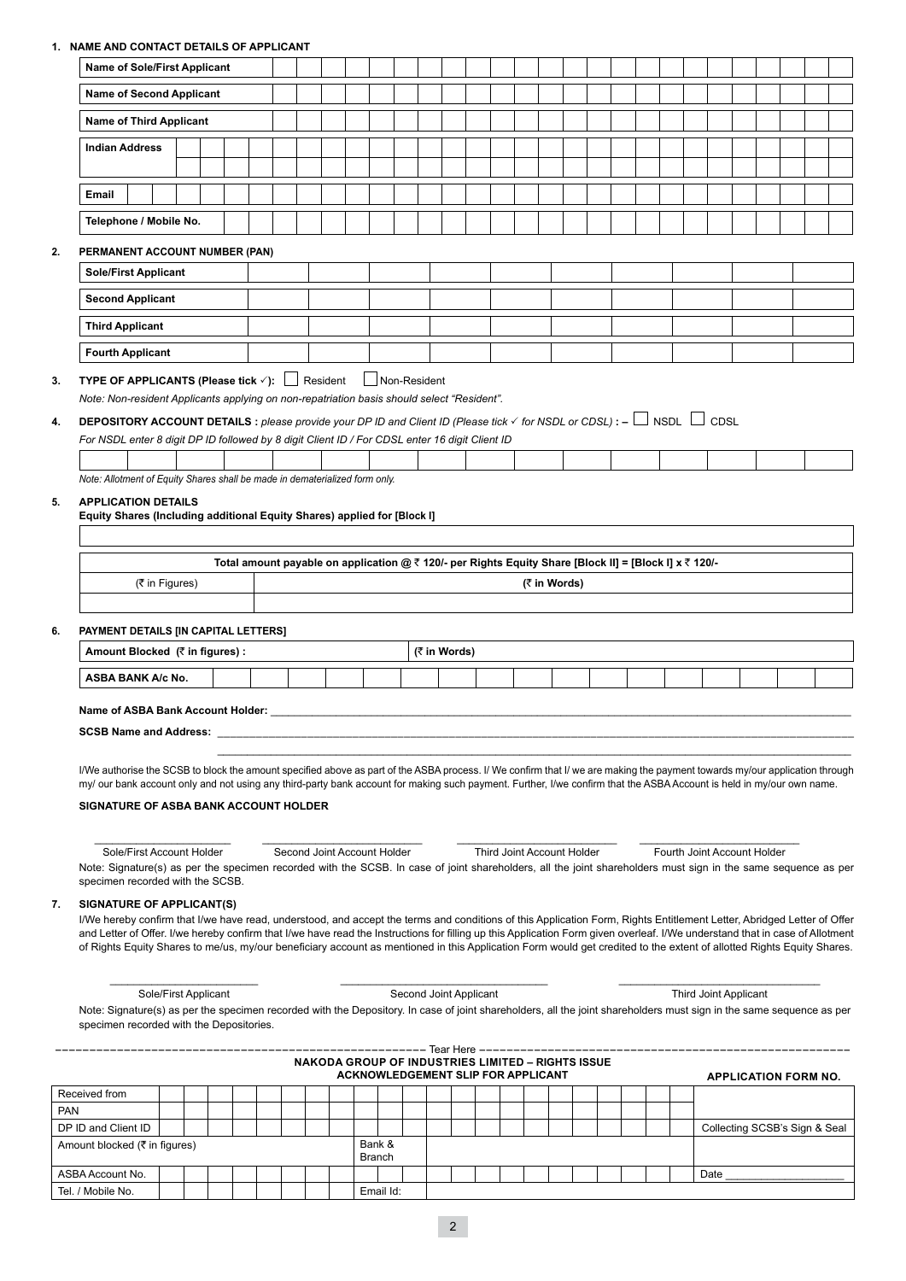## **1. NAME AND CONTACT DETAILS OF APPLICANT**

|            | <b>Name of Sole/First Applicant</b>                                                                                                                                                                                                                                                                                                                    |  |  |  |  |                             |  |  |  |               |                                                                                                        |              |  |  |                            |  |  |  |                             |      |  |                               |  |  |
|------------|--------------------------------------------------------------------------------------------------------------------------------------------------------------------------------------------------------------------------------------------------------------------------------------------------------------------------------------------------------|--|--|--|--|-----------------------------|--|--|--|---------------|--------------------------------------------------------------------------------------------------------|--------------|--|--|----------------------------|--|--|--|-----------------------------|------|--|-------------------------------|--|--|
|            | <b>Name of Second Applicant</b>                                                                                                                                                                                                                                                                                                                        |  |  |  |  |                             |  |  |  |               |                                                                                                        |              |  |  |                            |  |  |  |                             |      |  |                               |  |  |
|            | <b>Name of Third Applicant</b>                                                                                                                                                                                                                                                                                                                         |  |  |  |  |                             |  |  |  |               |                                                                                                        |              |  |  |                            |  |  |  |                             |      |  |                               |  |  |
|            | <b>Indian Address</b>                                                                                                                                                                                                                                                                                                                                  |  |  |  |  |                             |  |  |  |               |                                                                                                        |              |  |  |                            |  |  |  |                             |      |  |                               |  |  |
|            |                                                                                                                                                                                                                                                                                                                                                        |  |  |  |  |                             |  |  |  |               |                                                                                                        |              |  |  |                            |  |  |  |                             |      |  |                               |  |  |
|            | Email                                                                                                                                                                                                                                                                                                                                                  |  |  |  |  |                             |  |  |  |               |                                                                                                        |              |  |  |                            |  |  |  |                             |      |  |                               |  |  |
|            | Telephone / Mobile No.                                                                                                                                                                                                                                                                                                                                 |  |  |  |  |                             |  |  |  |               |                                                                                                        |              |  |  |                            |  |  |  |                             |      |  |                               |  |  |
| 2.         | PERMANENT ACCOUNT NUMBER (PAN)                                                                                                                                                                                                                                                                                                                         |  |  |  |  |                             |  |  |  |               |                                                                                                        |              |  |  |                            |  |  |  |                             |      |  |                               |  |  |
|            | <b>Sole/First Applicant</b>                                                                                                                                                                                                                                                                                                                            |  |  |  |  |                             |  |  |  |               |                                                                                                        |              |  |  |                            |  |  |  |                             |      |  |                               |  |  |
|            | <b>Second Applicant</b>                                                                                                                                                                                                                                                                                                                                |  |  |  |  |                             |  |  |  |               |                                                                                                        |              |  |  |                            |  |  |  |                             |      |  |                               |  |  |
|            | <b>Third Applicant</b>                                                                                                                                                                                                                                                                                                                                 |  |  |  |  |                             |  |  |  |               |                                                                                                        |              |  |  |                            |  |  |  |                             |      |  |                               |  |  |
|            | <b>Fourth Applicant</b>                                                                                                                                                                                                                                                                                                                                |  |  |  |  |                             |  |  |  |               |                                                                                                        |              |  |  |                            |  |  |  |                             |      |  |                               |  |  |
| 3.         | <b>TYPE OF APPLICANTS (Please tick <math>\checkmark</math>):</b> $\Box$ Resident<br>Non-Resident<br>Note: Non-resident Applicants applying on non-repatriation basis should select "Resident".                                                                                                                                                         |  |  |  |  |                             |  |  |  |               |                                                                                                        |              |  |  |                            |  |  |  |                             |      |  |                               |  |  |
| 4.         | <b>DEPOSITORY ACCOUNT DETAILS</b> : please provide your DP ID and Client ID (Please tick $\checkmark$ for NSDL or CDSL): - $\Box$ NSDL $\Box$ CDSL                                                                                                                                                                                                     |  |  |  |  |                             |  |  |  |               |                                                                                                        |              |  |  |                            |  |  |  |                             |      |  |                               |  |  |
|            | For NSDL enter 8 digit DP ID followed by 8 digit Client ID / For CDSL enter 16 digit Client ID                                                                                                                                                                                                                                                         |  |  |  |  |                             |  |  |  |               |                                                                                                        |              |  |  |                            |  |  |  |                             |      |  |                               |  |  |
|            |                                                                                                                                                                                                                                                                                                                                                        |  |  |  |  |                             |  |  |  |               |                                                                                                        |              |  |  |                            |  |  |  |                             |      |  |                               |  |  |
|            | Note: Allotment of Equity Shares shall be made in dematerialized form only.                                                                                                                                                                                                                                                                            |  |  |  |  |                             |  |  |  |               |                                                                                                        |              |  |  |                            |  |  |  |                             |      |  |                               |  |  |
| 5.         | <b>APPLICATION DETAILS</b><br>Equity Shares (Including additional Equity Shares) applied for [Block I]                                                                                                                                                                                                                                                 |  |  |  |  |                             |  |  |  |               |                                                                                                        |              |  |  |                            |  |  |  |                             |      |  |                               |  |  |
|            |                                                                                                                                                                                                                                                                                                                                                        |  |  |  |  |                             |  |  |  |               |                                                                                                        |              |  |  |                            |  |  |  |                             |      |  |                               |  |  |
|            |                                                                                                                                                                                                                                                                                                                                                        |  |  |  |  |                             |  |  |  |               | Total amount payable on application @ ₹ 120/- per Rights Equity Share [Block II] = [Block I] x ₹ 120/- |              |  |  |                            |  |  |  |                             |      |  |                               |  |  |
|            | (₹ in Figures)                                                                                                                                                                                                                                                                                                                                         |  |  |  |  |                             |  |  |  |               |                                                                                                        |              |  |  | (₹ in Words)               |  |  |  |                             |      |  |                               |  |  |
|            |                                                                                                                                                                                                                                                                                                                                                        |  |  |  |  |                             |  |  |  |               |                                                                                                        |              |  |  |                            |  |  |  |                             |      |  |                               |  |  |
| 6.         | PAYMENT DETAILS [IN CAPITAL LETTERS]                                                                                                                                                                                                                                                                                                                   |  |  |  |  |                             |  |  |  |               |                                                                                                        |              |  |  |                            |  |  |  |                             |      |  |                               |  |  |
|            | Amount Blocked (₹ in figures) :                                                                                                                                                                                                                                                                                                                        |  |  |  |  |                             |  |  |  |               |                                                                                                        | (₹ in Words) |  |  |                            |  |  |  |                             |      |  |                               |  |  |
|            | <b>ASBA BANK A/c No.</b>                                                                                                                                                                                                                                                                                                                               |  |  |  |  |                             |  |  |  |               |                                                                                                        |              |  |  |                            |  |  |  |                             |      |  |                               |  |  |
|            |                                                                                                                                                                                                                                                                                                                                                        |  |  |  |  |                             |  |  |  |               |                                                                                                        |              |  |  |                            |  |  |  |                             |      |  |                               |  |  |
|            | Name of ASBA Bank Account Holder:<br><b>SCSB Name and Address:</b>                                                                                                                                                                                                                                                                                     |  |  |  |  |                             |  |  |  |               |                                                                                                        |              |  |  |                            |  |  |  |                             |      |  |                               |  |  |
|            |                                                                                                                                                                                                                                                                                                                                                        |  |  |  |  |                             |  |  |  |               |                                                                                                        |              |  |  |                            |  |  |  |                             |      |  |                               |  |  |
|            | I/We authorise the SCSB to block the amount specified above as part of the ASBA process. I/ We confirm that I/ we are making the payment towards my/our application through                                                                                                                                                                            |  |  |  |  |                             |  |  |  |               |                                                                                                        |              |  |  |                            |  |  |  |                             |      |  |                               |  |  |
|            | my/ our bank account only and not using any third-party bank account for making such payment. Further, I/we confirm that the ASBA Account is held in my/our own name.                                                                                                                                                                                  |  |  |  |  |                             |  |  |  |               |                                                                                                        |              |  |  |                            |  |  |  |                             |      |  |                               |  |  |
|            | <b>SIGNATURE OF ASBA BANK ACCOUNT HOLDER</b>                                                                                                                                                                                                                                                                                                           |  |  |  |  |                             |  |  |  |               |                                                                                                        |              |  |  |                            |  |  |  |                             |      |  |                               |  |  |
|            |                                                                                                                                                                                                                                                                                                                                                        |  |  |  |  |                             |  |  |  |               |                                                                                                        |              |  |  |                            |  |  |  |                             |      |  |                               |  |  |
|            | Sole/First Account Holder<br>Note: Signature(s) as per the specimen recorded with the SCSB. In case of joint shareholders, all the joint shareholders must sign in the same sequence as per                                                                                                                                                            |  |  |  |  | Second Joint Account Holder |  |  |  |               |                                                                                                        |              |  |  | Third Joint Account Holder |  |  |  | Fourth Joint Account Holder |      |  |                               |  |  |
|            |                                                                                                                                                                                                                                                                                                                                                        |  |  |  |  |                             |  |  |  |               |                                                                                                        |              |  |  |                            |  |  |  |                             |      |  |                               |  |  |
|            | specimen recorded with the SCSB.                                                                                                                                                                                                                                                                                                                       |  |  |  |  |                             |  |  |  |               |                                                                                                        |              |  |  |                            |  |  |  |                             |      |  |                               |  |  |
| 7.         | SIGNATURE OF APPLICANT(S)                                                                                                                                                                                                                                                                                                                              |  |  |  |  |                             |  |  |  |               |                                                                                                        |              |  |  |                            |  |  |  |                             |      |  |                               |  |  |
|            | I/We hereby confirm that I/we have read, understood, and accept the terms and conditions of this Application Form, Rights Entitlement Letter, Abridged Letter of Offer<br>and Letter of Offer. I/we hereby confirm that I/we have read the Instructions for filling up this Application Form given overleaf. I/We understand that in case of Allotment |  |  |  |  |                             |  |  |  |               |                                                                                                        |              |  |  |                            |  |  |  |                             |      |  |                               |  |  |
|            | of Rights Equity Shares to me/us, my/our beneficiary account as mentioned in this Application Form would get credited to the extent of allotted Rights Equity Shares.                                                                                                                                                                                  |  |  |  |  |                             |  |  |  |               |                                                                                                        |              |  |  |                            |  |  |  |                             |      |  |                               |  |  |
|            |                                                                                                                                                                                                                                                                                                                                                        |  |  |  |  |                             |  |  |  |               |                                                                                                        |              |  |  |                            |  |  |  |                             |      |  |                               |  |  |
|            | Sole/First Applicant                                                                                                                                                                                                                                                                                                                                   |  |  |  |  |                             |  |  |  |               | Second Joint Applicant                                                                                 |              |  |  |                            |  |  |  | Third Joint Applicant       |      |  |                               |  |  |
|            | Note: Signature(s) as per the specimen recorded with the Depository. In case of joint shareholders, all the joint shareholders must sign in the same sequence as per<br>specimen recorded with the Depositories.                                                                                                                                       |  |  |  |  |                             |  |  |  |               |                                                                                                        |              |  |  |                            |  |  |  |                             |      |  |                               |  |  |
|            |                                                                                                                                                                                                                                                                                                                                                        |  |  |  |  |                             |  |  |  |               |                                                                                                        |              |  |  |                            |  |  |  |                             |      |  |                               |  |  |
|            |                                                                                                                                                                                                                                                                                                                                                        |  |  |  |  |                             |  |  |  |               | <b>NAKODA GROUP OF INDUSTRIES LIMITED - RIGHTS ISSUE</b><br>ACKNOWLEDGEMENT SLIP FOR APPLICANT         |              |  |  |                            |  |  |  |                             |      |  | <b>APPLICATION FORM NO.</b>   |  |  |
|            | Received from                                                                                                                                                                                                                                                                                                                                          |  |  |  |  |                             |  |  |  |               |                                                                                                        |              |  |  |                            |  |  |  |                             |      |  |                               |  |  |
| <b>PAN</b> |                                                                                                                                                                                                                                                                                                                                                        |  |  |  |  |                             |  |  |  |               |                                                                                                        |              |  |  |                            |  |  |  |                             |      |  |                               |  |  |
|            | DP ID and Client ID<br>Amount blocked (₹ in figures)                                                                                                                                                                                                                                                                                                   |  |  |  |  |                             |  |  |  | Bank &        |                                                                                                        |              |  |  |                            |  |  |  |                             |      |  | Collecting SCSB's Sign & Seal |  |  |
|            |                                                                                                                                                                                                                                                                                                                                                        |  |  |  |  |                             |  |  |  | <b>Branch</b> |                                                                                                        |              |  |  |                            |  |  |  |                             |      |  |                               |  |  |
|            | ASBA Account No.<br>Tel. / Mobile No.                                                                                                                                                                                                                                                                                                                  |  |  |  |  |                             |  |  |  | Email Id:     |                                                                                                        |              |  |  |                            |  |  |  |                             | Date |  |                               |  |  |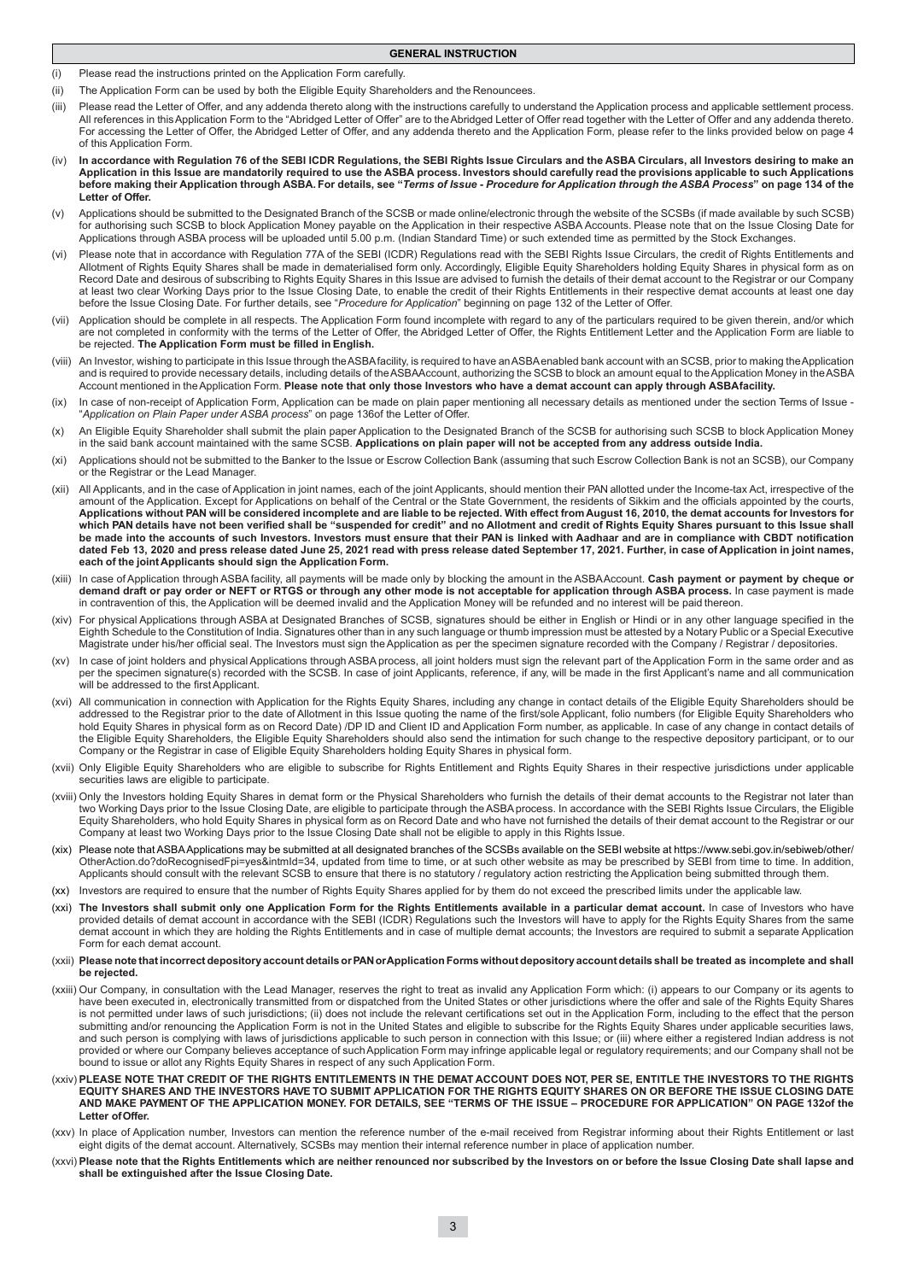- (i) Please read the instructions printed on the Application Form carefully.
- (ii) The Application Form can be used by both the Eligible Equity Shareholders and the Renouncees.
- (iii) Please read the Letter of Offer, and any addenda thereto along with the instructions carefully to understand the Application process and applicable settlement process. All references in this Application Form to the "Abridged Letter of Offer" are to the Abridged Letter of Offer read together with the Letter of Offer and any addenda thereto. For accessing the Letter of Offer, the Abridged Letter of Offer, and any addenda thereto and the Application Form, please refer to the links provided below on page 4 of this Application Form.

**GENERAL INSTRUCTION**

- In accordance with Regulation 76 of the SEBI ICDR Regulations, the SEBI Rights Issue Circulars and the ASBA Circulars, all Investors desiring to make an **Application in this Issue are mandatorily required to use the ASBA process. Investors should carefully read the provisions applicable to such Applications before making their Application through ASBA. For details, see "***Terms of Issue - Procedure for Application through the ASBA Process***" on page 134 of the Letter of Offer.**
- (v) Applications should be submitted to the Designated Branch of the SCSB or made online/electronic through the website of the SCSBs (if made available by such SCSB) for authorising such SCSB to block Application Money payable on the Application in their respective ASBA Accounts. Please note that on the Issue Closing Date for Applications through ASBA process will be uploaded until 5.00 p.m. (Indian Standard Time) or such extended time as permitted by the Stock Exchanges.
- (vi) Please note that in accordance with Regulation 77A of the SEBI (ICDR) Regulations read with the SEBI Rights Issue Circulars, the credit of Rights Entitlements and Allotment of Rights Equity Shares shall be made in dematerialised form only. Accordingly, Eligible Equity Shareholders holding Equity Shares in physical form as on Record Date and desirous of subscribing to Rights Equity Shares in this Issue are advised to furnish the details of their demat account to the Registrar or our Company at least two clear Working Days prior to the Issue Closing Date, to enable the credit of their Rights Entitlements in their respective demat accounts at least one day before the Issue Closing Date. For further details, see "*Procedure for Application*" beginning on page 132 of the Letter of Offer.
- (vii) Application should be complete in all respects. The Application Form found incomplete with regard to any of the particulars required to be given therein, and/or which are not completed in conformity with the terms of the Letter of Offer, the Abridged Letter of Offer, the Rights Entitlement Letter and the Application Form are liable to be rejected. **The Application Form must be filled in English.**
- (viii) An Investor, wishing to participate in this Issue through the ASBA facility, is required to have an ASBA enabled bank account with an SCSB, prior to making the Application and is required to provide necessary details, including details of the ASBA Account, authorizing the SCSB to block an amount equal to the Application Money in the ASBA Account mentioned in the Application Form. **Please note that only those Investors who have a demat account can apply through ASBA facility.**
- (ix) In case of non-receipt of Application Form, Application can be made on plain paper mentioning all necessary details as mentioned under the section Terms of Issue "*Application on Plain Paper under ASBA process*" on page 136of the Letter of Offer.
- (x) An Eligible Equity Shareholder shall submit the plain paper Application to the Designated Branch of the SCSB for authorising such SCSB to block Application Money in the said bank account maintained with the same SCSB. **Applications on plain paper will not be accepted from any address outside India.**
- (xi) Applications should not be submitted to the Banker to the Issue or Escrow Collection Bank (assuming that such Escrow Collection Bank is not an SCSB), our Company or the Registrar or the Lead Manager.
- (xii) All Applicants, and in the case of Application in joint names, each of the joint Applicants, should mention their PAN allotted under the Income-tax Act, irrespective of the amount of the Application. Except for Applications on behalf of the Central or the State Government, the residents of Sikkim and the officials appointed by the courts, **Applications without PAN will be considered incomplete and are liable to be rejected. With effect from August 16, 2010, the demat accounts for Investors for**  which PAN details have not been verified shall be "suspended for credit" and no Allotment and credit of Rights Equity Shares pursuant to this Issue shall **be made into the accounts of such Investors. Investors must ensure that their PAN is linked with Aadhaar and are in compliance with CBDT notification dated Feb 13, 2020 and press release dated June 25, 2021 read with press release dated September 17, 2021. Further, in case of Application in joint names, each of the joint Applicants should sign the Application Form.**
- (xiii) In case of Application through ASBA facility, all payments will be made only by blocking the amount in the ASBA Account. **Cash payment or payment by cheque or demand draft or pay order or NEFT or RTGS or through any other mode is not acceptable for application through ASBA process.** In case payment is made in contravention of this, the Application will be deemed invalid and the Application Money will be refunded and no interest will be paid thereon.
- (xiv) For physical Applications through ASBA at Designated Branches of SCSB, signatures should be either in English or Hindi or in any other language specified in the Eighth Schedule to the Constitution of India. Signatures other than in any such language or thumb impression must be attested by a Notary Public or a Special Executive Magistrate under his/her official seal. The Investors must sign the Application as per the specimen signature recorded with the Company / Registrar / depositories.
- (xv) In case of joint holders and physical Applications through ASBA process, all joint holders must sign the relevant part of the Application Form in the same order and as per the specimen signature(s) recorded with the SCSB. In case of joint Applicants, reference, if any, will be made in the first Applicant's name and all communication will be addressed to the first Applicant.
- (xvi) All communication in connection with Application for the Rights Equity Shares, including any change in contact details of the Eligible Equity Shareholders should be addressed to the Registrar prior to the date of Allotment in this Issue quoting the name of the first/sole Applicant, folio numbers (for Eligible Equity Shareholders who hold Equity Shares in physical form as on Record Date) /DP ID and Client ID and Application Form number, as applicable. In case of any change in contact details of the Eligible Equity Shareholders, the Eligible Equity Shareholders should also send the intimation for such change to the respective depository participant, or to our Company or the Registrar in case of Eligible Equity Shareholders holding Equity Shares in physical form.
- (xvii) Only Eligible Equity Shareholders who are eligible to subscribe for Rights Entitlement and Rights Equity Shares in their respective jurisdictions under applicable securities laws are eligible to participate.
- (xviii) Only the Investors holding Equity Shares in demat form or the Physical Shareholders who furnish the details of their demat accounts to the Registrar not later than two Working Days prior to the Issue Closing Date, are eligible to participate through the ASBA process. In accordance with the SEBI Rights Issue Circulars, the Eligible Equity Shareholders, who hold Equity Shares in physical form as on Record Date and who have not furnished the details of their demat account to the Registrar or our Company at least two Working Days prior to the Issue Closing Date shall not be eligible to apply in this Rights Issue.
- (xix) Please note that ASBA Applications may be submitted at all designated branches of the SCSBs available on the SEBI website at https://www.sebi.gov.in/sebiweb/other/ OtherAction.do?doRecognisedFpi=yes&intmId=34, updated from time to time, or at such other website as may be prescribed by SEBI from time to time. In addition, Applicants should consult with the relevant SCSB to ensure that there is no statutory / regulatory action restricting the Application being submitted through them.
- (xx) Investors are required to ensure that the number of Rights Equity Shares applied for by them do not exceed the prescribed limits under the applicable law.
- (xxi) The Investors shall submit only one Application Form for the Rights Entitlements available in a particular demat account. In case of Investors who have provided details of demat account in accordance with the SEBI (ICDR) Regulations such the Investors will have to apply for the Rights Equity Shares from the same demat account in which they are holding the Rights Entitlements and in case of multiple demat accounts; the Investors are required to submit a separate Application Form for each demat account.
- (xxii) **Please note that incorrect depository account details or PAN or Application Forms without depository account details shall be treated as incomplete and shall be rejected.**
- (xxiii) Our Company, in consultation with the Lead Manager, reserves the right to treat as invalid any Application Form which: (i) appears to our Company or its agents to have been executed in, electronically transmitted from or dispatched from the United States or other jurisdictions where the offer and sale of the Rights Equity Shares is not permitted under laws of such jurisdictions; (ii) does not include the relevant certifications set out in the Application Form, including to the effect that the person submitting and/or renouncing the Application Form is not in the United States and eligible to subscribe for the Rights Equity Shares under applicable securities laws, and such person is complying with laws of jurisdictions applicable to such person in connection with this Issue; or (iii) where either a registered Indian address is not provided or where our Company believes acceptance of such Application Form may infringe applicable legal or regulatory requirements; and our Company shall not be bound to issue or allot any Rights Equity Shares in respect of any such Application Form.
- (xxiv) **PLEASE NOTE THAT CREDIT OF THE RIGHTS ENTITLEMENTS IN THE DEMAT ACCOUNT DOES NOT, PER SE, ENTITLE THE INVESTORS TO THE RIGHTS EQUITY SHARES AND THE INVESTORS HAVE TO SUBMIT APPLICATION FOR THE RIGHTS EQUITY SHARES ON OR BEFORE THE ISSUE CLOSING DATE AND MAKE PAYMENT OF THE APPLICATION MONEY. FOR DETAILS, SEE "TERMS OF THE ISSUE – PROCEDURE FOR APPLICATION" ON PAGE 132of the Letter of Offer.**
- (xxv) In place of Application number, Investors can mention the reference number of the e-mail received from Registrar informing about their Rights Entitlement or last eight digits of the demat account. Alternatively, SCSBs may mention their internal reference number in place of application number.
- (xxvi) **Please note that the Rights Entitlements which are neither renounced nor subscribed by the Investors on or before the Issue Closing Date shall lapse and shall be extinguished after the Issue Closing Date.**